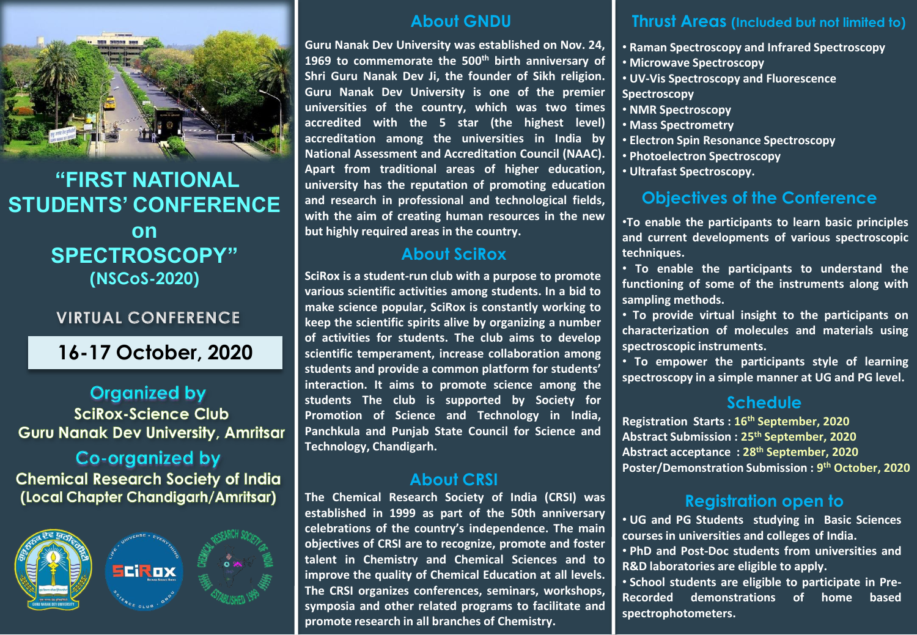

# **"FIRST NATIONAL STUDENTS' CONFERENCE on SPECTROSCOPY" (NSCoS-2020)**

## **VIRTUAL CONFERENCE**

# **16-17 October, 2020**

# **Organized by SciRox-Science Club Guru Nanak Dev University, Amritsar**

#### Co-organized by **Chemical Research Society of India** (Local Chapter Chandigarh/Amritsar)



### **About GNDU**

**Guru Nanak Dev University was established on Nov. 24, 1969 to commemorate the 500th birth anniversary of Shri Guru Nanak Dev Ji, the founder of Sikh religion. Guru Nanak Dev University is one of the premier universities of the country, which was two times accredited with the 5 star (the highest level) accreditation among the universities in India by National Assessment and Accreditation Council (NAAC). Apart from traditional areas of higher education, university has the reputation of promoting education and research in professional and technological fields, with the aim of creating human resources in the new but highly required areas in the country.**

## **About SciRox**

**SciRox is a student-run club with a purpose to promote various scientific activities among students. In a bid to make science popular, SciRox is constantly working to keep the scientific spirits alive by organizing a number of activities for students. The club aims to develop scientific temperament, increase collaboration among students and provide a common platform for students' interaction. It aims to promote science among the students The club is supported by Society for Promotion of Science and Technology in India, Panchkula and Punjab State Council for Science and Technology, Chandigarh.**

#### **About CRSI**

**The Chemical Research Society of India (CRSI) was established in 1999 as part of the 50th anniversary celebrations of the country's independence. The main objectives of CRSI are to recognize, promote and foster talent in Chemistry and Chemical Sciences and to improve the quality of Chemical Education at all levels. The CRSI organizes conferences, seminars, workshops, symposia and other related programs to facilitate and promote research in all branches of Chemistry.**

#### **Thrust Areas (Included but not limited to)**

- **Raman Spectroscopy and Infrared Spectroscopy**
- **Microwave Spectroscopy**
- **UV-Vis Spectroscopy and Fluorescence Spectroscopy**
- **NMR Spectroscopy**
- **Mass Spectrometry**
- **Electron Spin Resonance Spectroscopy**
- **Photoelectron Spectroscopy**
- **Ultrafast Spectroscopy.**

# **Objectives of the Conference**

•**To enable the participants to learn basic principles and current developments of various spectroscopic techniques.**

• **To enable the participants to understand the functioning of some of the instruments along with sampling methods.**

• **To provide virtual insight to the participants on characterization of molecules and materials using spectroscopic instruments.**

• **To empower the participants style of learning spectroscopy in a simple manner at UG and PG level.**

### **Schedule**

**Registration Starts : 16th September, 2020 Abstract Submission : 25th September, 2020 Abstract acceptance : 28th September, 2020 Poster/Demonstration Submission : 9 th October, 2020**

## **Registration open to**

• **UG and PG Students studying in Basic Sciences coursesin universities and colleges of India.**

• **PhD and Post-Doc students from universities and R&D laboratories are eligible to apply.**

• **School students are eligible to participate in Pre-Recorded demonstrations of home based spectrophotometers.**